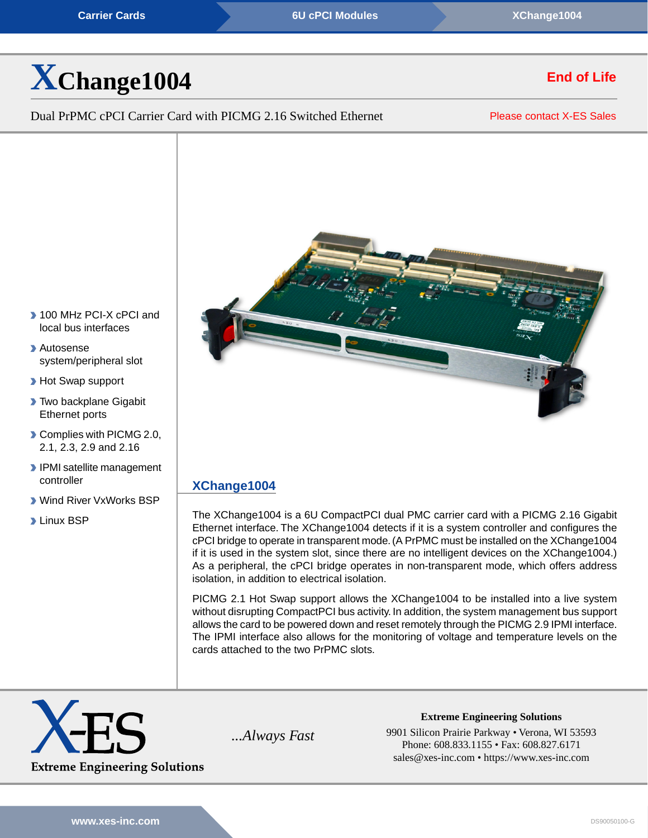#### **[Carrier Cards](https://www.xes-inc.com/product-category/carriers/?utm_source=dynamic&utm_medium=referral&utm_term=XChange1004&utm_content=Product%20Category&utm_campaign=Datasheet) [6U cPCI Modules](https://www.xes-inc.com/products-overview/compactpci-products/?utm_source=dynamic&utm_medium=referral&utm_term=XChange1004&utm_content=Form%20Factor&utm_campaign=Datasheet)** *Carrier Cards* **<b>[XChange1004](https://www.xes-inc.com/products/carriers/xchange1004/?utm_source=dynamic&utm_medium=referral&utm_term=XChange1004&utm_content=Header&utm_campaign=Datasheet)**

# **[X](https://www.xes-inc.com/products/carriers/xchange1004/?utm_source=dynamic&utm_medium=referral&utm_term=XChange1004&utm_content=Title&utm_campaign=Datasheet)[Change1004](https://www.xes-inc.com/products/carriers/xchange1004/?utm_source=dynamic&utm_medium=referral&utm_term=XChange1004&utm_content=Title&utm_campaign=Datasheet)**

Dual PrPMC cPCI Carrier Card with PICMG 2.16 Switched Ethernet

[Please contact X-ES Sales](https://www.xes-inc.com/about/contact/?utm_source=dynamic&utm_medium=referral&utm_term=XChange1004&utm_content=NRND&utm_campaign=Datasheet)

**End of Life**



# **[XChange1004](https://www.xes-inc.com/products/carriers/xchange1004/?utm_source=dynamic&utm_medium=referral&utm_term=XChange1004&utm_content=Description%20Title&utm_campaign=Datasheet)**

The XChange1004 is a 6U CompactPCI dual PMC carrier card with a PICMG 2.16 Gigabit Ethernet interface. The XChange1004 detects if it is a system controller and configures the cPCI bridge to operate in transparent mode. (A PrPMC must be installed on the XChange1004 if it is used in the system slot, since there are no intelligent devices on the XChange1004.) As a peripheral, the cPCI bridge operates in non-transparent mode, which offers address isolation, in addition to electrical isolation.

PICMG 2.1 Hot Swap support allows the XChange1004 to be installed into a live system without disrupting CompactPCI bus activity. In addition, the system management bus support allows the card to be powered down and reset remotely through the PICMG 2.9 IPMI interface. The IPMI interface also allows for the monitoring of voltage and temperature levels on the cards attached to the two PrPMC slots.



*...Always Fast* 9901 Silicon Prairie Parkway • Verona, WI 53593 Phone: 608.833.1155 • Fax: 608.827.6171 sales@xes-inc.com • <https://www.xes-inc.com>

**Extreme Engineering Solutions**

▶ 100 MHz PCI-X cPCI and local bus interfaces

Autosense system/peripheral slot

**Hot Swap support** 

- **Two backplane Gigabit** Ethernet ports
- Complies with PICMG 2.0, 2.1, 2.3, 2.9 and 2.16
- IPMI satellite management controller
- Wind River VxWorks BSP
- **Linux BSP**